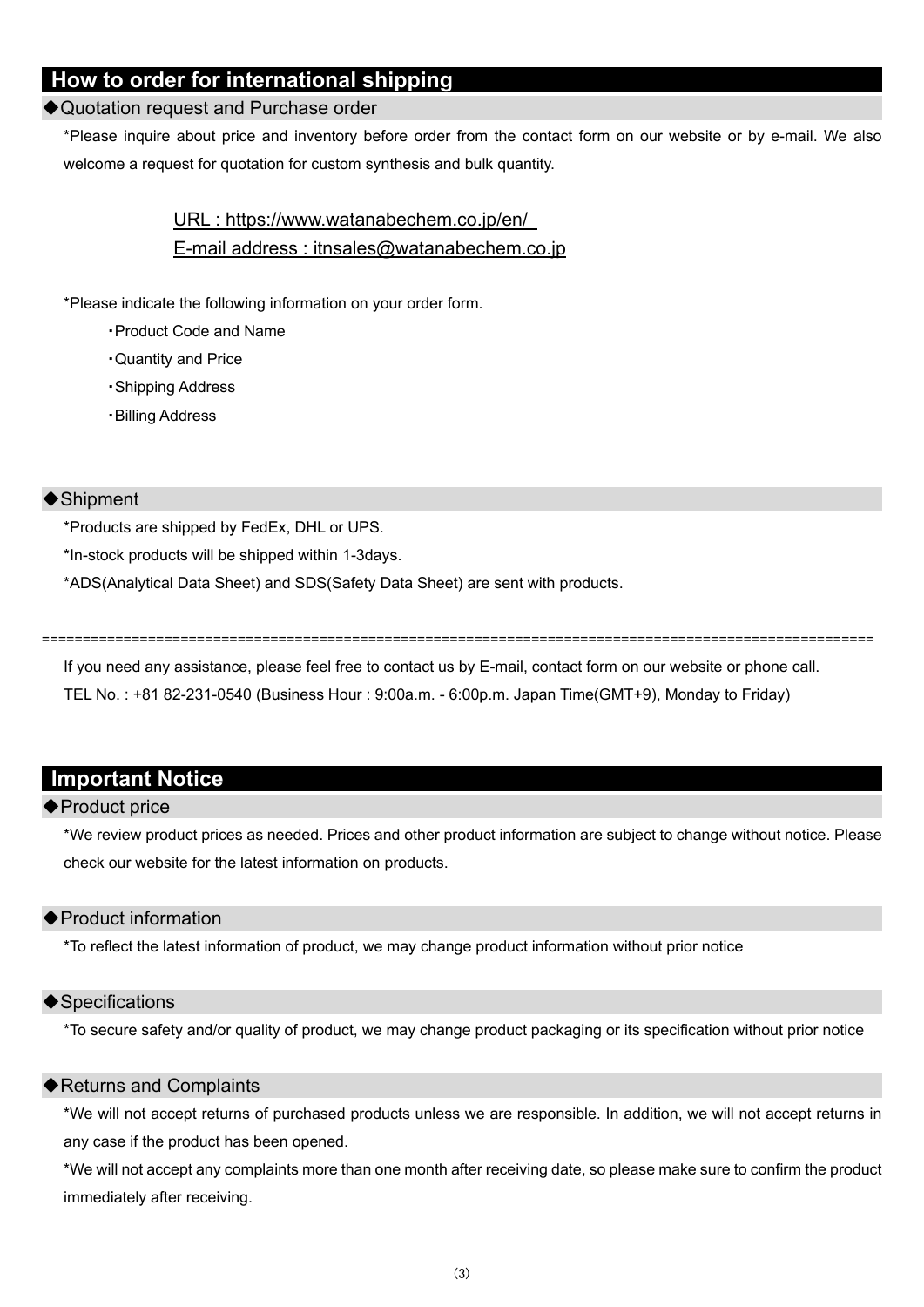# **How to order for international shipping**

#### ◆Quotation request and Purchase order

\*Please inquire about price and inventory before order from the contact form on our website or by e-mail. We also welcome a request for quotation for custom synthesis and bulk quantity.

> URL : https://www.watanabechem.co.jp/en/ E-mail address : itnsales@watanabechem.co.jp

\*Please indicate the following information on your order form.

- ・Product Code and Name
- ・Quantity and Price
- ・Shipping Address
- ・Billing Address

### ◆Shipment

\*Products are shipped by FedEx, DHL or UPS.

\*In-stock products will be shipped within 1-3days.

\*ADS(Analytical Data Sheet) and SDS(Safety Data Sheet) are sent with products.

======================================================================================================

If you need any assistance, please feel free to contact us by E-mail, contact form on our website or phone call.

TEL No. : +81 82-231-0540 (Business Hour : 9:00a.m. - 6:00p.m. Japan Time(GMT+9), Monday to Friday)

# **Important Notice**

### ◆Product price

\*We review product prices as needed. Prices and other product information are subject to change without notice. Please check our website for the latest information on products.

### ◆Product information

\*To reflect the latest information of product, we may change product information without prior notice

#### ◆Specifications

\*To secure safety and/or quality of product, we may change product packaging or its specification without prior notice

### ◆Returns and Complaints

\*We will not accept returns of purchased products unless we are responsible. In addition, we will not accept returns in any case if the product has been opened.

\*We will not accept any complaints more than one month after receiving date, so please make sure to confirm the product immediately after receiving.